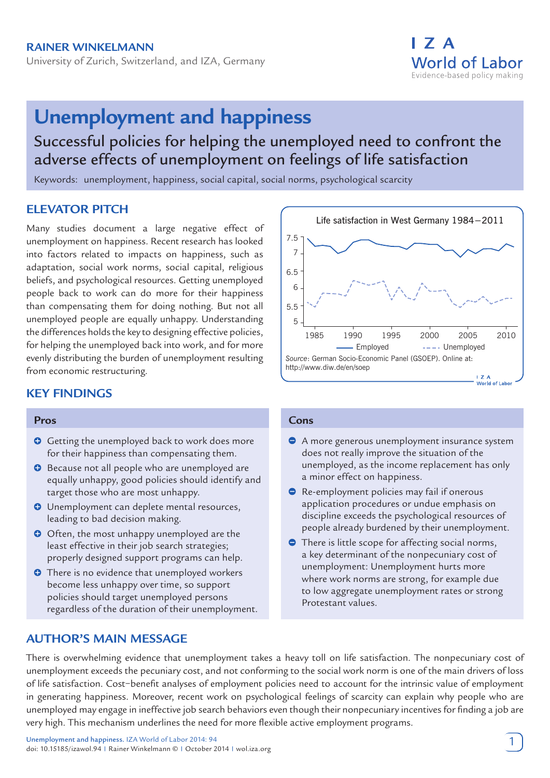University of Zurich, Switzerland, and IZA, Germany



# **Unemployment and happiness**

## Successful policies for helping the unemployed need to confront the adverse effects of unemployment on feelings of life satisfaction

Keywords: unemployment, happiness, social capital, social norms, psychological scarcity

## **ELEVATOR PITCH**

Many studies document a large negative effect of unemployment on happiness. Recent research has looked into factors related to impacts on happiness, such as adaptation, social work norms, social capital, religious beliefs, and psychological resources. Getting unemployed people back to work can do more for their happiness than compensating them for doing nothing. But not all unemployed people are equally unhappy. Understanding the differences holds the key to designing effective policies, for helping the unemployed back into work, and for more evenly distributing the burden of unemployment resulting from economic restructuring.

## **KEY FINDINGS**

#### **Pros**

- Getting the unemployed back to work does more for their happiness than compensating them.
- $\bullet$  Because not all people who are unemployed are equally unhappy, good policies should identify and target those who are most unhappy.
- **O** Unemployment can deplete mental resources, leading to bad decision making.
- O Often, the most unhappy unemployed are the least effective in their job search strategies; properly designed support programs can help.
- **O** There is no evidence that unemployed workers become less unhappy over time, so support policies should target unemployed persons regardless of the duration of their unemployment.

## **AUTHOR'S MAIN MESSAGE**



#### **Cons**

- A more generous unemployment insurance system does not really improve the situation of the unemployed, as the income replacement has only a minor effect on happiness.
- **•** Re-employment policies may fail if onerous application procedures or undue emphasis on discipline exceeds the psychological resources of people already burdened by their unemployment.
- **There is little scope for affecting social norms,** a key determinant of the nonpecuniary cost of unemployment: Unemployment hurts more where work norms are strong, for example due to low aggregate unemployment rates or strong Protestant values.

There is overwhelming evidence that unemployment takes a heavy toll on life satisfaction. The nonpecuniary cost of unemployment exceeds the pecuniary cost, and not conforming to the social work norm is one of the main drivers of loss of life satisfaction. Cost−benefit analyses of employment policies need to account for the intrinsic value of employment in generating happiness. Moreover, recent work on psychological feelings of scarcity can explain why people who are unemployed may engage in ineffective job search behaviors even though their nonpecuniary incentives for finding a job are very high. This mechanism underlines the need for more flexible active employment programs.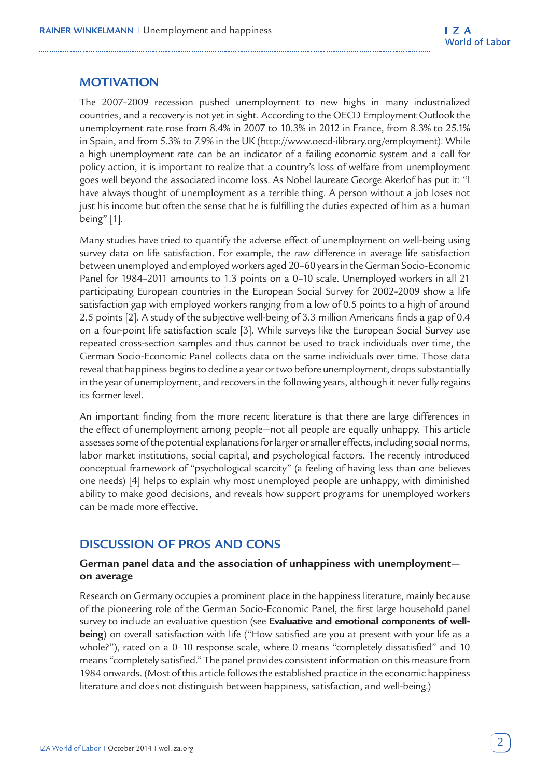## **MOTIVATION**

The 2007–2009 recession pushed unemployment to new highs in many industrialized countries, and a recovery is not yet in sight. According to the OECD Employment Outlook the unemployment rate rose from 8.4% in 2007 to 10.3% in 2012 in France, from 8.3% to 25.1% in Spain, and from 5.3% to 7.9% in the UK (http://www.oecd-ilibrary.org/employment). While a high unemployment rate can be an indicator of a failing economic system and a call for policy action, it is important to realize that a country's loss of welfare from unemployment goes well beyond the associated income loss. As Nobel laureate George Akerlof has put it: "I have always thought of unemployment as a terrible thing. A person without a job loses not just his income but often the sense that he is fulfilling the duties expected of him as a human being" [1].

Many studies have tried to quantify the adverse effect of unemployment on well-being using survey data on life satisfaction. For example, the raw difference in average life satisfaction between unemployed and employed workers aged 20–60 years in the German Socio-Economic Panel for 1984–2011 amounts to 1.3 points on a 0–10 scale. Unemployed workers in all 21 participating European countries in the European Social Survey for 2002–2009 show a life satisfaction gap with employed workers ranging from a low of 0.5 points to a high of around 2.5 points [2]. A study of the subjective well-being of 3.3 million Americans finds a gap of 0.4 on a four-point life satisfaction scale [3]. While surveys like the European Social Survey use repeated cross-section samples and thus cannot be used to track individuals over time, the German Socio-Economic Panel collects data on the same individuals over time. Those data reveal that happiness begins to decline a year or two before unemployment, drops substantially in the year of unemployment, and recovers in the following years, although it never fully regains its former level.

An important finding from the more recent literature is that there are large differences in the effect of unemployment among people—not all people are equally unhappy. This article assesses some of the potential explanations for larger or smaller effects, including social norms, labor market institutions, social capital, and psychological factors. The recently introduced conceptual framework of "psychological scarcity" (a feeling of having less than one believes one needs) [4] helps to explain why most unemployed people are unhappy, with diminished ability to make good decisions, and reveals how support programs for unemployed workers can be made more effective.

## **DISCUSSION OF PROS AND CONS**

#### **German panel data and the association of unhappiness with unemployment on average**

Research on Germany occupies a prominent place in the happiness literature, mainly because of the pioneering role of the German Socio-Economic Panel, the first large household panel survey to include an evaluative question (see **Evaluative and emotional components of wellbeing**) on overall satisfaction with life ("How satisfied are you at present with your life as a whole?"), rated on a 0−10 response scale, where 0 means "completely dissatisfied" and 10 means "completely satisfied." The panel provides consistent information on this measure from 1984 onwards. (Most of this article follows the established practice in the economic happiness literature and does not distinguish between happiness, satisfaction, and well-being.)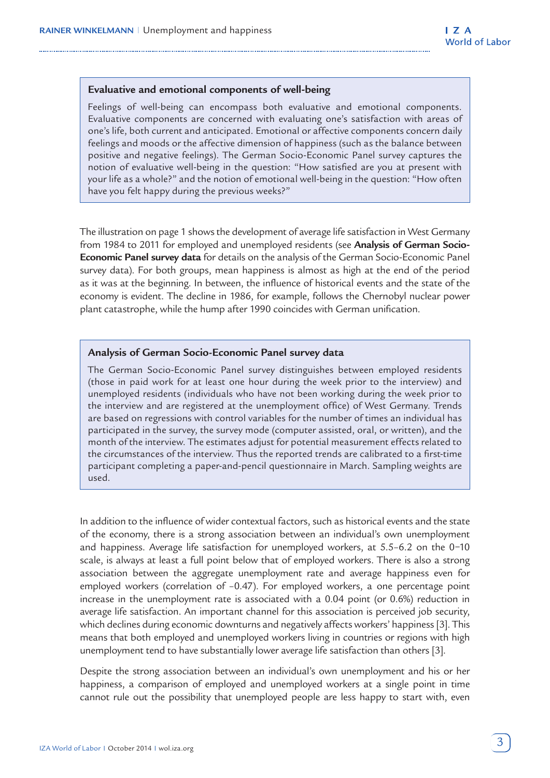#### **Evaluative and emotional components of well-being**

Feelings of well-being can encompass both evaluative and emotional components. Evaluative components are concerned with evaluating one's satisfaction with areas of one's life, both current and anticipated. Emotional or affective components concern daily feelings and moods or the affective dimension of happiness (such as the balance between positive and negative feelings). The German Socio-Economic Panel survey captures the notion of evaluative well-being in the question: "How satisfied are you at present with your life as a whole?" and the notion of emotional well-being in the question: "How often have you felt happy during the previous weeks?"

The illustration on page 1 shows the development of average life satisfaction in West Germany from 1984 to 2011 for employed and unemployed residents (see **Analysis of German Socio-Economic Panel survey data** for details on the analysis of the German Socio-Economic Panel survey data). For both groups, mean happiness is almost as high at the end of the period as it was at the beginning. In between, the influence of historical events and the state of the economy is evident. The decline in 1986, for example, follows the Chernobyl nuclear power plant catastrophe, while the hump after 1990 coincides with German unification.

#### **Analysis of German Socio-Economic Panel survey data**

The German Socio-Economic Panel survey distinguishes between employed residents (those in paid work for at least one hour during the week prior to the interview) and unemployed residents (individuals who have not been working during the week prior to the interview and are registered at the unemployment office) of West Germany. Trends are based on regressions with control variables for the number of times an individual has participated in the survey, the survey mode (computer assisted, oral, or written), and the month of the interview. The estimates adjust for potential measurement effects related to the circumstances of the interview. Thus the reported trends are calibrated to a first-time participant completing a paper-and-pencil questionnaire in March. Sampling weights are used.

In addition to the influence of wider contextual factors, such as historical events and the state of the economy, there is a strong association between an individual's own unemployment and happiness. Average life satisfaction for unemployed workers, at 5.5–6.2 on the 0−10 scale, is always at least a full point below that of employed workers. There is also a strong association between the aggregate unemployment rate and average happiness even for employed workers (correlation of –0.47). For employed workers, a one percentage point increase in the unemployment rate is associated with a 0.04 point (or 0.6%) reduction in average life satisfaction. An important channel for this association is perceived job security, which declines during economic downturns and negatively affects workers' happiness [3]. This means that both employed and unemployed workers living in countries or regions with high unemployment tend to have substantially lower average life satisfaction than others [3].

Despite the strong association between an individual's own unemployment and his or her happiness, a comparison of employed and unemployed workers at a single point in time cannot rule out the possibility that unemployed people are less happy to start with, even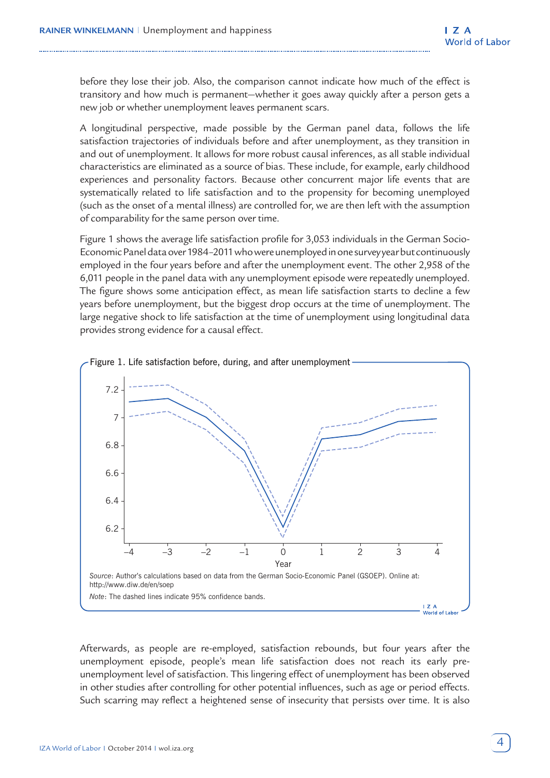before they lose their job. Also, the comparison cannot indicate how much of the effect is transitory and how much is permanent—whether it goes away quickly after a person gets a new job or whether unemployment leaves permanent scars.

A longitudinal perspective, made possible by the German panel data, follows the life satisfaction trajectories of individuals before and after unemployment, as they transition in and out of unemployment. It allows for more robust causal inferences, as all stable individual characteristics are eliminated as a source of bias. These include, for example, early childhood experiences and personality factors. Because other concurrent major life events that are systematically related to life satisfaction and to the propensity for becoming unemployed (such as the onset of a mental illness) are controlled for, we are then left with the assumption of comparability for the same person over time.

Figure 1 shows the average life satisfaction profile for 3,053 individuals in the German Socio-Economic Panel data over 1984–2011 who were unemployed in one survey year but continuously employed in the four years before and after the unemployment event. The other 2,958 of the 6,011 people in the panel data with any unemployment episode were repeatedly unemployed. The figure shows some anticipation effect, as mean life satisfaction starts to decline a few years before unemployment, but the biggest drop occurs at the time of unemployment. The large negative shock to life satisfaction at the time of unemployment using longitudinal data provides strong evidence for a causal effect.



Afterwards, as people are re-employed, satisfaction rebounds, but four years after the unemployment episode, people's mean life satisfaction does not reach its early preunemployment level of satisfaction. This lingering effect of unemployment has been observed in other studies after controlling for other potential influences, such as age or period effects. Such scarring may reflect a heightened sense of insecurity that persists over time. It is also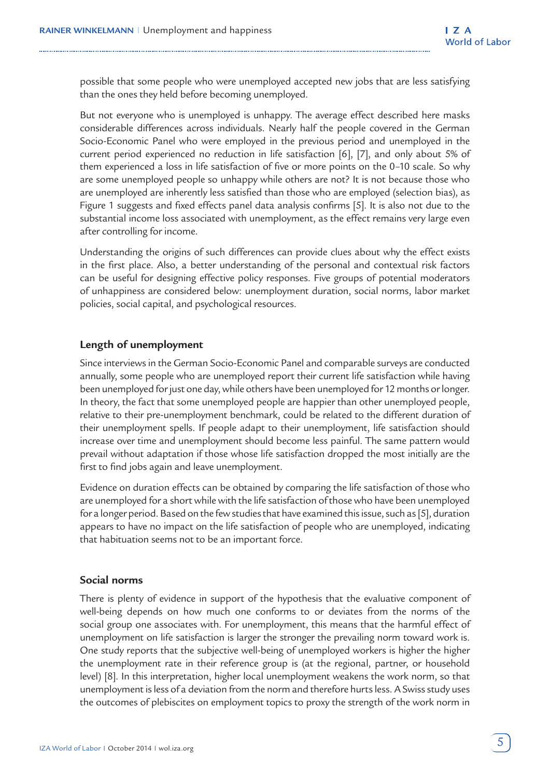possible that some people who were unemployed accepted new jobs that are less satisfying than the ones they held before becoming unemployed.

But not everyone who is unemployed is unhappy. The average effect described here masks considerable differences across individuals. Nearly half the people covered in the German Socio-Economic Panel who were employed in the previous period and unemployed in the current period experienced no reduction in life satisfaction [6], [7], and only about 5% of them experienced a loss in life satisfaction of five or more points on the 0–10 scale. So why are some unemployed people so unhappy while others are not? It is not because those who are unemployed are inherently less satisfied than those who are employed (selection bias), as Figure 1 suggests and fixed effects panel data analysis confirms [5]. It is also not due to the substantial income loss associated with unemployment, as the effect remains very large even after controlling for income.

Understanding the origins of such differences can provide clues about why the effect exists in the first place. Also, a better understanding of the personal and contextual risk factors can be useful for designing effective policy responses. Five groups of potential moderators of unhappiness are considered below: unemployment duration, social norms, labor market policies, social capital, and psychological resources.

#### **Length of unemployment**

Since interviews in the German Socio-Economic Panel and comparable surveys are conducted annually, some people who are unemployed report their current life satisfaction while having been unemployed for just one day, while others have been unemployed for 12 months or longer. In theory, the fact that some unemployed people are happier than other unemployed people, relative to their pre-unemployment benchmark, could be related to the different duration of their unemployment spells. If people adapt to their unemployment, life satisfaction should increase over time and unemployment should become less painful. The same pattern would prevail without adaptation if those whose life satisfaction dropped the most initially are the first to find jobs again and leave unemployment.

Evidence on duration effects can be obtained by comparing the life satisfaction of those who are unemployed for a short while with the life satisfaction of those who have been unemployed for a longer period. Based on the few studies that have examined this issue, such as [5], duration appears to have no impact on the life satisfaction of people who are unemployed, indicating that habituation seems not to be an important force.

#### **Social norms**

There is plenty of evidence in support of the hypothesis that the evaluative component of well-being depends on how much one conforms to or deviates from the norms of the social group one associates with. For unemployment, this means that the harmful effect of unemployment on life satisfaction is larger the stronger the prevailing norm toward work is. One study reports that the subjective well-being of unemployed workers is higher the higher the unemployment rate in their reference group is (at the regional, partner, or household level) [8]. In this interpretation, higher local unemployment weakens the work norm, so that unemployment is less of a deviation from the norm and therefore hurts less. A Swiss study uses the outcomes of plebiscites on employment topics to proxy the strength of the work norm in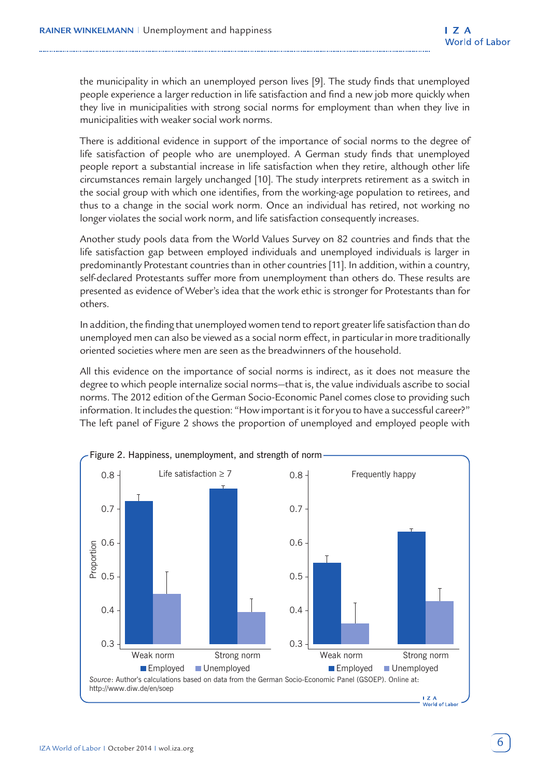the municipality in which an unemployed person lives [9]. The study finds that unemployed people experience a larger reduction in life satisfaction and find a new job more quickly when they live in municipalities with strong social norms for employment than when they live in municipalities with weaker social work norms.

There is additional evidence in support of the importance of social norms to the degree of life satisfaction of people who are unemployed. A German study finds that unemployed people report a substantial increase in life satisfaction when they retire, although other life circumstances remain largely unchanged [10]. The study interprets retirement as a switch in the social group with which one identifies, from the working-age population to retirees, and thus to a change in the social work norm. Once an individual has retired, not working no longer violates the social work norm, and life satisfaction consequently increases.

Another study pools data from the World Values Survey on 82 countries and finds that the life satisfaction gap between employed individuals and unemployed individuals is larger in predominantly Protestant countries than in other countries [11]. In addition, within a country, self-declared Protestants suffer more from unemployment than others do. These results are presented as evidence of Weber's idea that the work ethic is stronger for Protestants than for others.

In addition, the finding that unemployed women tend to report greater life satisfaction than do unemployed men can also be viewed as a social norm effect, in particular in more traditionally oriented societies where men are seen as the breadwinners of the household.

All this evidence on the importance of social norms is indirect, as it does not measure the degree to which people internalize social norms—that is, the value individuals ascribe to social norms. The 2012 edition of the German Socio-Economic Panel comes close to providing such information. It includes the question: "How important is it for you to have a successful career?" The left panel of Figure 2 shows the proportion of unemployed and employed people with

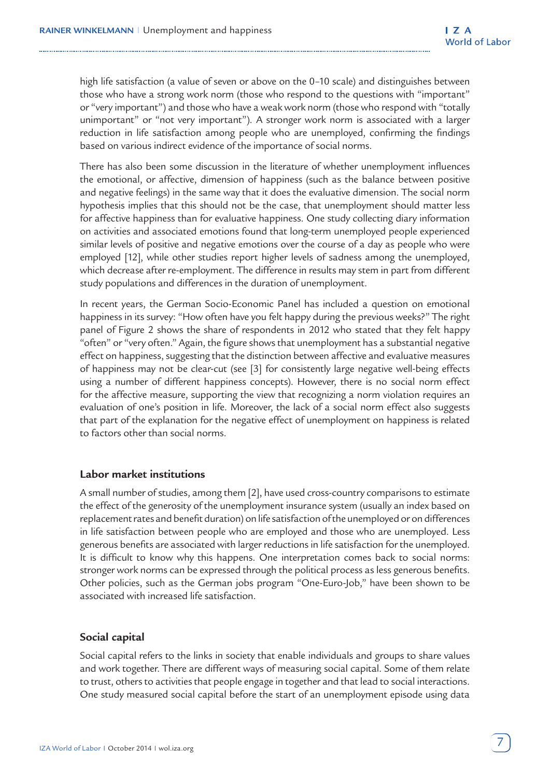high life satisfaction (a value of seven or above on the 0–10 scale) and distinguishes between those who have a strong work norm (those who respond to the questions with "important" or "very important") and those who have a weak work norm (those who respond with "totally unimportant" or "not very important"). A stronger work norm is associated with a larger reduction in life satisfaction among people who are unemployed, confirming the findings based on various indirect evidence of the importance of social norms.

There has also been some discussion in the literature of whether unemployment influences the emotional, or affective, dimension of happiness (such as the balance between positive and negative feelings) in the same way that it does the evaluative dimension. The social norm hypothesis implies that this should not be the case, that unemployment should matter less for affective happiness than for evaluative happiness. One study collecting diary information on activities and associated emotions found that long-term unemployed people experienced similar levels of positive and negative emotions over the course of a day as people who were employed [12], while other studies report higher levels of sadness among the unemployed, which decrease after re-employment. The difference in results may stem in part from different study populations and differences in the duration of unemployment.

In recent years, the German Socio-Economic Panel has included a question on emotional happiness in its survey: "How often have you felt happy during the previous weeks?" The right panel of Figure 2 shows the share of respondents in 2012 who stated that they felt happy "often" or "very often." Again, the figure shows that unemployment has a substantial negative effect on happiness, suggesting that the distinction between affective and evaluative measures of happiness may not be clear-cut (see [3] for consistently large negative well-being effects using a number of different happiness concepts). However, there is no social norm effect for the affective measure, supporting the view that recognizing a norm violation requires an evaluation of one's position in life. Moreover, the lack of a social norm effect also suggests that part of the explanation for the negative effect of unemployment on happiness is related to factors other than social norms.

#### **Labor market institutions**

A small number of studies, among them [2], have used cross-country comparisons to estimate the effect of the generosity of the unemployment insurance system (usually an index based on replacement rates and benefit duration) on life satisfaction of the unemployed or on differences in life satisfaction between people who are employed and those who are unemployed. Less generous benefits are associated with larger reductions in life satisfaction for the unemployed. It is difficult to know why this happens. One interpretation comes back to social norms: stronger work norms can be expressed through the political process as less generous benefits. Other policies, such as the German jobs program "One-Euro-Job," have been shown to be associated with increased life satisfaction.

#### **Social capital**

Social capital refers to the links in society that enable individuals and groups to share values and work together. There are different ways of measuring social capital. Some of them relate to trust, others to activities that people engage in together and that lead to social interactions. One study measured social capital before the start of an unemployment episode using data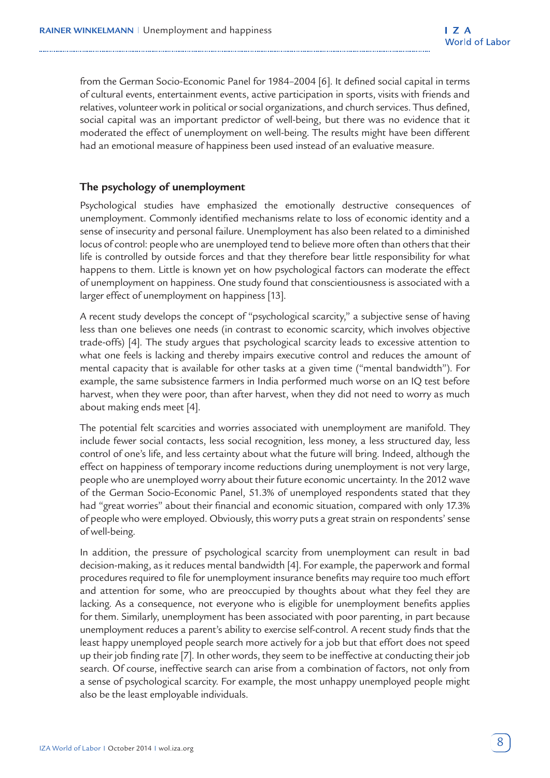from the German Socio-Economic Panel for 1984–2004 [6]. It defined social capital in terms of cultural events, entertainment events, active participation in sports, visits with friends and relatives, volunteer work in political or social organizations, and church services. Thus defined, social capital was an important predictor of well-being, but there was no evidence that it moderated the effect of unemployment on well-being. The results might have been different had an emotional measure of happiness been used instead of an evaluative measure.

#### **The psychology of unemployment**

Psychological studies have emphasized the emotionally destructive consequences of unemployment. Commonly identified mechanisms relate to loss of economic identity and a sense of insecurity and personal failure. Unemployment has also been related to a diminished locus of control: people who are unemployed tend to believe more often than others that their life is controlled by outside forces and that they therefore bear little responsibility for what happens to them. Little is known yet on how psychological factors can moderate the effect of unemployment on happiness. One study found that conscientiousness is associated with a larger effect of unemployment on happiness [13].

A recent study develops the concept of "psychological scarcity," a subjective sense of having less than one believes one needs (in contrast to economic scarcity, which involves objective trade-offs) [4]. The study argues that psychological scarcity leads to excessive attention to what one feels is lacking and thereby impairs executive control and reduces the amount of mental capacity that is available for other tasks at a given time ("mental bandwidth"). For example, the same subsistence farmers in India performed much worse on an IQ test before harvest, when they were poor, than after harvest, when they did not need to worry as much about making ends meet [4].

The potential felt scarcities and worries associated with unemployment are manifold. They include fewer social contacts, less social recognition, less money, a less structured day, less control of one's life, and less certainty about what the future will bring. Indeed, although the effect on happiness of temporary income reductions during unemployment is not very large, people who are unemployed worry about their future economic uncertainty. In the 2012 wave of the German Socio-Economic Panel, 51.3% of unemployed respondents stated that they had "great worries" about their financial and economic situation, compared with only 17.3% of people who were employed. Obviously, this worry puts a great strain on respondents' sense of well-being.

In addition, the pressure of psychological scarcity from unemployment can result in bad decision-making, as it reduces mental bandwidth [4]. For example, the paperwork and formal procedures required to file for unemployment insurance benefits may require too much effort and attention for some, who are preoccupied by thoughts about what they feel they are lacking. As a consequence, not everyone who is eligible for unemployment benefits applies for them. Similarly, unemployment has been associated with poor parenting, in part because unemployment reduces a parent's ability to exercise self-control. A recent study finds that the least happy unemployed people search more actively for a job but that effort does not speed up their job finding rate [7]. In other words, they seem to be ineffective at conducting their job search. Of course, ineffective search can arise from a combination of factors, not only from a sense of psychological scarcity. For example, the most unhappy unemployed people might also be the least employable individuals.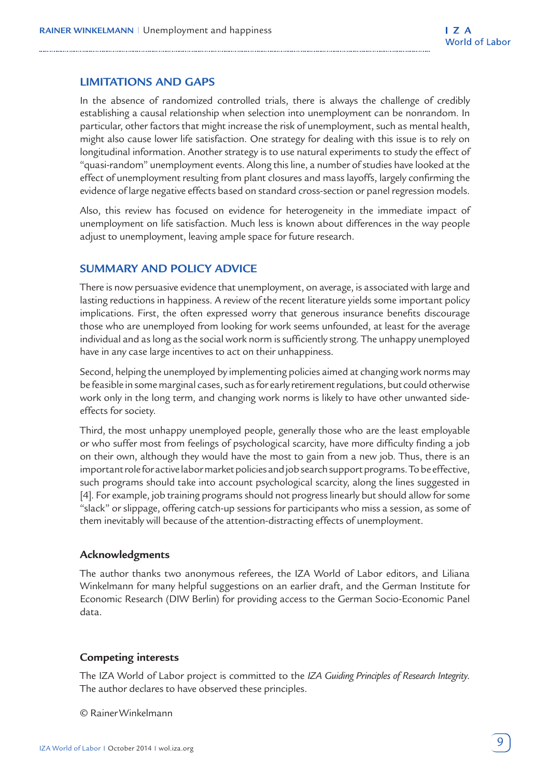#### **LIMITATIONS AND GAPS**

In the absence of randomized controlled trials, there is always the challenge of credibly establishing a causal relationship when selection into unemployment can be nonrandom. In particular, other factors that might increase the risk of unemployment, such as mental health, might also cause lower life satisfaction. One strategy for dealing with this issue is to rely on longitudinal information. Another strategy is to use natural experiments to study the effect of "quasi-random" unemployment events. Along this line, a number of studies have looked at the effect of unemployment resulting from plant closures and mass layoffs, largely confirming the evidence of large negative effects based on standard cross-section or panel regression models.

Also, this review has focused on evidence for heterogeneity in the immediate impact of unemployment on life satisfaction. Much less is known about differences in the way people adjust to unemployment, leaving ample space for future research.

## **SUMMARY AND POLICY ADVICE**

There is now persuasive evidence that unemployment, on average, is associated with large and lasting reductions in happiness. A review of the recent literature yields some important policy implications. First, the often expressed worry that generous insurance benefits discourage those who are unemployed from looking for work seems unfounded, at least for the average individual and as long as the social work norm is sufficiently strong. The unhappy unemployed have in any case large incentives to act on their unhappiness.

Second, helping the unemployed by implementing policies aimed at changing work norms may be feasible in some marginal cases, such as for early retirement regulations, but could otherwise work only in the long term, and changing work norms is likely to have other unwanted sideeffects for society.

Third, the most unhappy unemployed people, generally those who are the least employable or who suffer most from feelings of psychological scarcity, have more difficulty finding a job on their own, although they would have the most to gain from a new job. Thus, there is an important role for active labor market policies and job search support programs. To be effective, such programs should take into account psychological scarcity, along the lines suggested in [4]. For example, job training programs should not progress linearly but should allow for some "slack" or slippage, offering catch-up sessions for participants who miss a session, as some of them inevitably will because of the attention-distracting effects of unemployment.

#### **Acknowledgments**

The author thanks two anonymous referees, the IZA World of Labor editors, and Liliana Winkelmann for many helpful suggestions on an earlier draft, and the German Institute for Economic Research (DIW Berlin) for providing access to the German Socio-Economic Panel data.

#### **Competing interests**

The IZA World of Labor project is committed to the *IZA Guiding Principles of Research Integrity*. The author declares to have observed these principles.

© Rainer Winkelmann